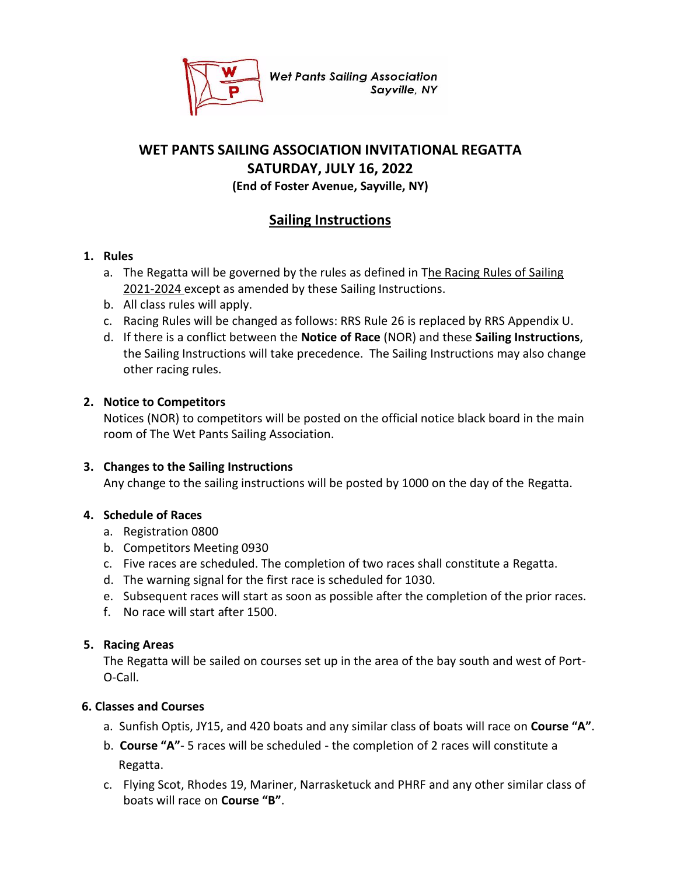

**Wet Pants Sailing Association** Sayville, NY

# **WET PANTS SAILING ASSOCIATION INVITATIONAL REGATTA SATURDAY, JULY 16, 2022 (End of Foster Avenue, Sayville, NY)**

# **Sailing Instructions**

### **1. Rules**

- a. The Regatta will be governed by the rules as defined in The Racing Rules of Sailing 2021-2024 except as amended by these Sailing Instructions.
- b. All class rules will apply.
- c. Racing Rules will be changed as follows: RRS Rule 26 is replaced by RRS Appendix U.
- d. If there is a conflict between the **Notice of Race** (NOR) and these **Sailing Instructions**, the Sailing Instructions will take precedence. The Sailing Instructions may also change other racing rules.

#### **2. Notice to Competitors**

Notices (NOR) to competitors will be posted on the official notice black board in the main room of The Wet Pants Sailing Association.

#### **3. Changes to the Sailing Instructions**

Any change to the sailing instructions will be posted by 1000 on the day of the Regatta.

#### **4. Schedule of Races**

- a. Registration 0800
- b. Competitors Meeting 0930
- c. Five races are scheduled. The completion of two races shall constitute a Regatta.
- d. The warning signal for the first race is scheduled for 1030.
- e. Subsequent races will start as soon as possible after the completion of the prior races.
- f. No race will start after 1500.

#### **5. Racing Areas**

The Regatta will be sailed on courses set up in the area of the bay south and west of Port-O-Call.

#### **6. Classes and Courses**

- a. Sunfish Optis, JY15, and 420 boats and any similar class of boats will race on **Course "A"**.
- b. **Course "A"** 5 races will be scheduled the completion of 2 races will constitute a Regatta.
- c. Flying Scot, Rhodes 19, Mariner, Narrasketuck and PHRF and any other similar class of boats will race on **Course "B"**.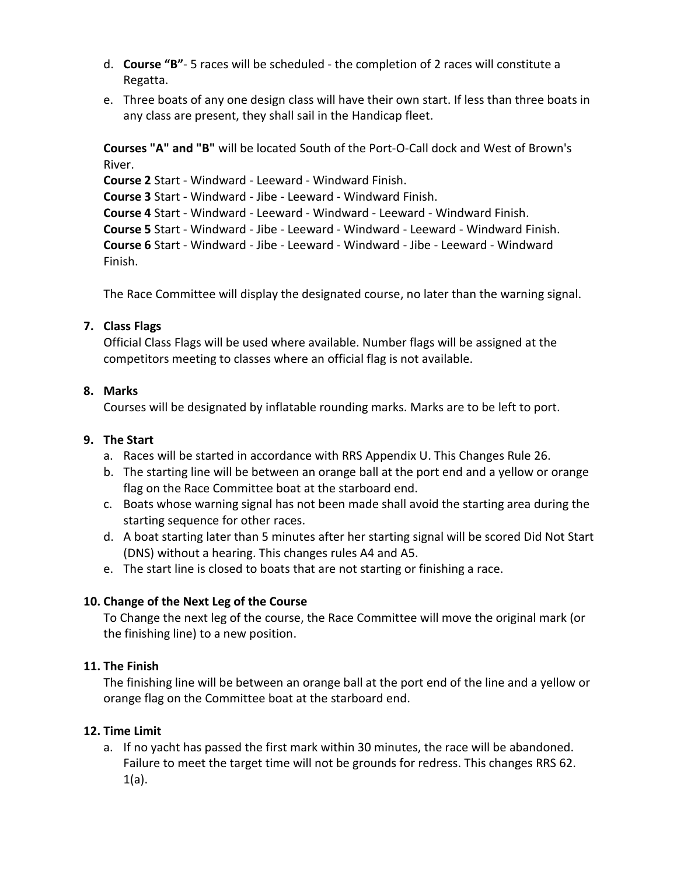- d. **Course "B"** 5 races will be scheduled the completion of 2 races will constitute a Regatta.
- e. Three boats of any one design class will have their own start. If less than three boats in any class are present, they shall sail in the Handicap fleet.

**Courses "A" and "B"** will be located South of the Port-O-Call dock and West of Brown's River.

**Course 2** Start - Windward - Leeward - Windward Finish.

**Course 3** Start - Windward - Jibe - Leeward - Windward Finish.

**Course 4** Start - Windward - Leeward - Windward - Leeward - Windward Finish.

**Course 5** Start - Windward - Jibe - Leeward - Windward - Leeward - Windward Finish.

**Course 6** Start - Windward - Jibe - Leeward - Windward - Jibe - Leeward - Windward Finish.

The Race Committee will display the designated course, no later than the warning signal.

# **7. Class Flags**

Official Class Flags will be used where available. Number flags will be assigned at the competitors meeting to classes where an official flag is not available.

# **8. Marks**

Courses will be designated by inflatable rounding marks. Marks are to be left to port.

# **9. The Start**

- a. Races will be started in accordance with RRS Appendix U. This Changes Rule 26.
- b. The starting line will be between an orange ball at the port end and a yellow or orange flag on the Race Committee boat at the starboard end.
- c. Boats whose warning signal has not been made shall avoid the starting area during the starting sequence for other races.
- d. A boat starting later than 5 minutes after her starting signal will be scored Did Not Start (DNS) without a hearing. This changes rules A4 and A5.
- e. The start line is closed to boats that are not starting or finishing a race.

# **10. Change of the Next Leg of the Course**

To Change the next leg of the course, the Race Committee will move the original mark (or the finishing line) to a new position.

# **11. The Finish**

The finishing line will be between an orange ball at the port end of the line and a yellow or orange flag on the Committee boat at the starboard end.

# **12. Time Limit**

a. If no yacht has passed the first mark within 30 minutes, the race will be abandoned. Failure to meet the target time will not be grounds for redress. This changes RRS 62. 1(a).